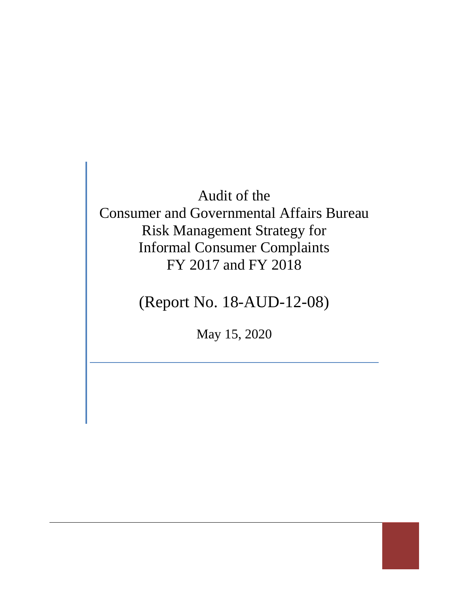Audit of the Consumer and Governmental Affairs Bureau Risk Management Strategy for Informal Consumer Complaints FY 2017 and FY 2018

(Report No. 18-AUD-12-08)

May 15, 2020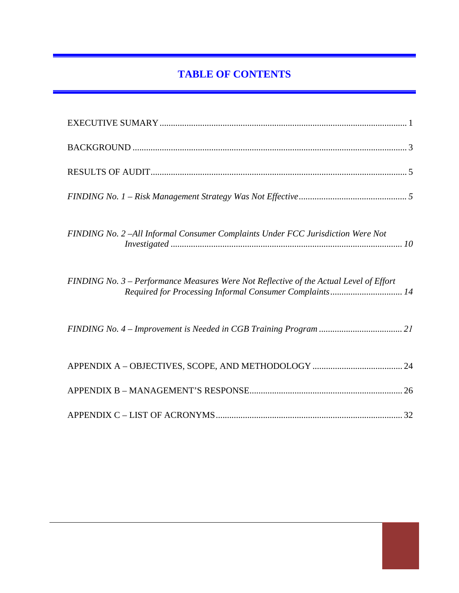# **TABLE OF CONTENTS**

| FINDING No. 2 -All Informal Consumer Complaints Under FCC Jurisdiction Were Not<br>$\label{thm:invariant} {\it Investigated}\,\,\\$               |
|---------------------------------------------------------------------------------------------------------------------------------------------------|
|                                                                                                                                                   |
| FINDING No. 3 – Performance Measures Were Not Reflective of the Actual Level of Effort<br>Required for Processing Informal Consumer Complaints 14 |
|                                                                                                                                                   |
|                                                                                                                                                   |
|                                                                                                                                                   |
|                                                                                                                                                   |
|                                                                                                                                                   |
|                                                                                                                                                   |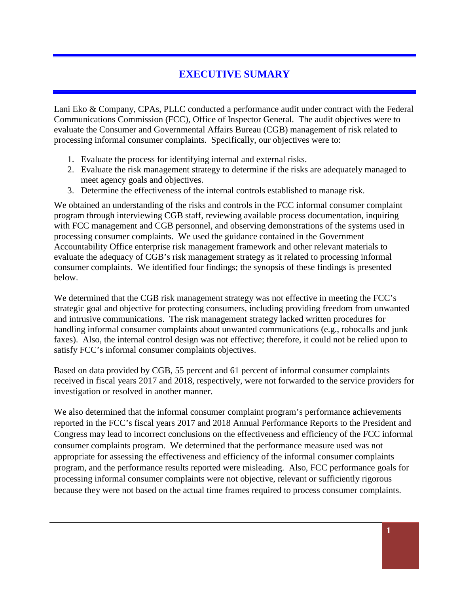# **EXECUTIVE SUMARY**

Lani Eko & Company, CPAs, PLLC conducted a performance audit under contract with the Federal Communications Commission (FCC), Office of Inspector General. The audit objectives were to evaluate the Consumer and Governmental Affairs Bureau (CGB) management of risk related to processing informal consumer complaints*.* Specifically, our objectives were to:

- 1. Evaluate the process for identifying internal and external risks.
- 2. Evaluate the risk management strategy to determine if the risks are adequately managed to meet agency goals and objectives.
- 3. Determine the effectiveness of the internal controls established to manage risk.

We obtained an understanding of the risks and controls in the FCC informal consumer complaint program through interviewing CGB staff, reviewing available process documentation, inquiring with FCC management and CGB personnel, and observing demonstrations of the systems used in processing consumer complaints. We used the guidance contained in the Government Accountability Office enterprise risk management framework and other relevant materials to evaluate the adequacy of CGB's risk management strategy as it related to processing informal consumer complaints. We identified four findings; the synopsis of these findings is presented below.

We determined that the CGB risk management strategy was not effective in meeting the FCC's strategic goal and objective for protecting consumers, including providing freedom from unwanted and intrusive communications. The risk management strategy lacked written procedures for handling informal consumer complaints about unwanted communications (e.g., robocalls and junk faxes). Also, the internal control design was not effective; therefore, it could not be relied upon to satisfy FCC's informal consumer complaints objectives.

Based on data provided by CGB, 55 percent and 61 percent of informal consumer complaints received in fiscal years 2017 and 2018, respectively, were not forwarded to the service providers for investigation or resolved in another manner.

We also determined that the informal consumer complaint program's performance achievements reported in the FCC's fiscal years 2017 and 2018 Annual Performance Reports to the President and Congress may lead to incorrect conclusions on the effectiveness and efficiency of the FCC informal consumer complaints program. We determined that the performance measure used was not appropriate for assessing the effectiveness and efficiency of the informal consumer complaints program, and the performance results reported were misleading. Also, FCC performance goals for processing informal consumer complaints were not objective, relevant or sufficiently rigorous because they were not based on the actual time frames required to process consumer complaints.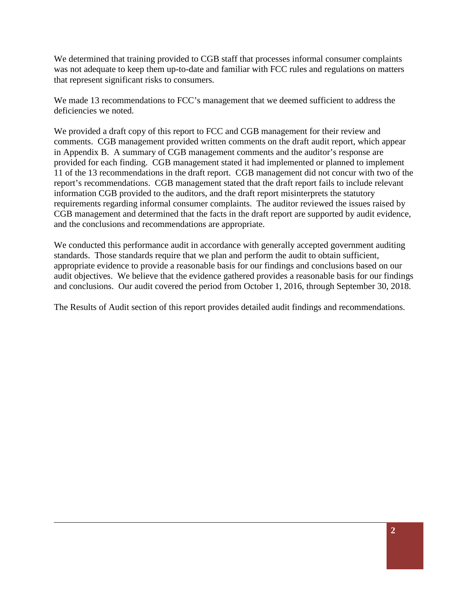We determined that training provided to CGB staff that processes informal consumer complaints was not adequate to keep them up-to-date and familiar with FCC rules and regulations on matters that represent significant risks to consumers.

We made 13 recommendations to FCC's management that we deemed sufficient to address the deficiencies we noted.

We provided a draft copy of this report to FCC and CGB management for their review and comments. CGB management provided written comments on the draft audit report, which appear in Appendix B. A summary of CGB management comments and the auditor's response are provided for each finding. CGB management stated it had implemented or planned to implement 11 of the 13 recommendations in the draft report. CGB management did not concur with two of the report's recommendations. CGB management stated that the draft report fails to include relevant information CGB provided to the auditors, and the draft report misinterprets the statutory requirements regarding informal consumer complaints. The auditor reviewed the issues raised by CGB management and determined that the facts in the draft report are supported by audit evidence, and the conclusions and recommendations are appropriate.

We conducted this performance audit in accordance with generally accepted government auditing standards. Those standards require that we plan and perform the audit to obtain sufficient, appropriate evidence to provide a reasonable basis for our findings and conclusions based on our audit objectives. We believe that the evidence gathered provides a reasonable basis for our findings and conclusions. Our audit covered the period from October 1, 2016, through September 30, 2018.

The Results of Audit section of this report provides detailed audit findings and recommendations.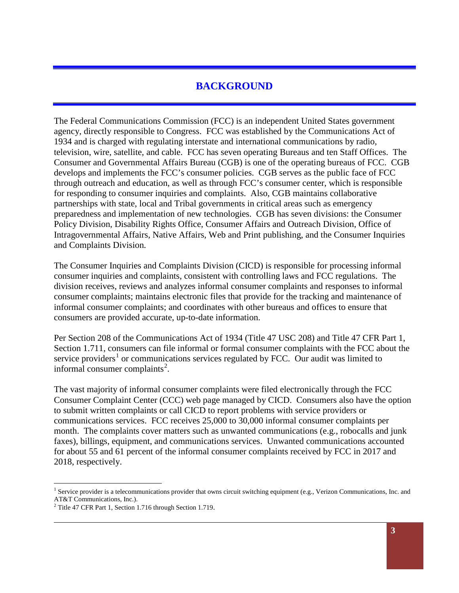# **BACKGROUND**

The Federal Communications Commission (FCC) is an independent United States government agency, directly responsible to Congress. FCC was established by the Communications Act of 1934 and is charged with regulating interstate and international communications by radio, television, wire, satellite, and cable. FCC has seven operating Bureaus and ten Staff Offices. The Consumer and Governmental Affairs Bureau (CGB) is one of the operating bureaus of FCC. CGB develops and implements the FCC's consumer policies. CGB serves as the public face of FCC through outreach and education, as well as through FCC's consumer center, which is responsible for responding to consumer inquiries and complaints. Also, CGB maintains collaborative partnerships with state, local and Tribal governments in critical areas such as emergency preparedness and implementation of new technologies. CGB has seven divisions: the Consumer Policy Division, Disability Rights Office, Consumer Affairs and Outreach Division, Office of Intragovernmental Affairs, Native Affairs, Web and Print publishing, and the Consumer Inquiries and Complaints Division.

The Consumer Inquiries and Complaints Division (CICD) is responsible for processing informal consumer inquiries and complaints, consistent with controlling laws and FCC regulations. The division receives, reviews and analyzes informal consumer complaints and responses to informal consumer complaints; maintains electronic files that provide for the tracking and maintenance of informal consumer complaints; and coordinates with other bureaus and offices to ensure that consumers are provided accurate, up-to-date information.

Per Section 208 of the Communications Act of 1934 (Title 47 USC 208) and Title 47 CFR Part 1, Section 1.711, consumers can file informal or formal consumer complaints with the FCC about the service providers<sup>1</sup> or communications services regulated by FCC. Our audit was limited to informal consumer complaints<sup>2</sup>.

The vast majority of informal consumer complaints were filed electronically through the FCC Consumer Complaint Center (CCC) web page managed by CICD. Consumers also have the option to submit written complaints or call CICD to report problems with service providers or communications services. FCC receives 25,000 to 30,000 informal consumer complaints per month. The complaints cover matters such as unwanted communications (e.g., robocalls and junk faxes), billings, equipment, and communications services. Unwanted communications accounted for about 55 and 61 percent of the informal consumer complaints received by FCC in 2017 and 2018, respectively.

 $\overline{a}$ 

<sup>&</sup>lt;sup>1</sup> Service provider is a telecommunications provider that owns circuit switching equipment (e.g., Verizon Communications, Inc. and AT&T Communications, Inc.).

<sup>2</sup> Title 47 CFR Part 1, Section 1.716 through Section 1.719.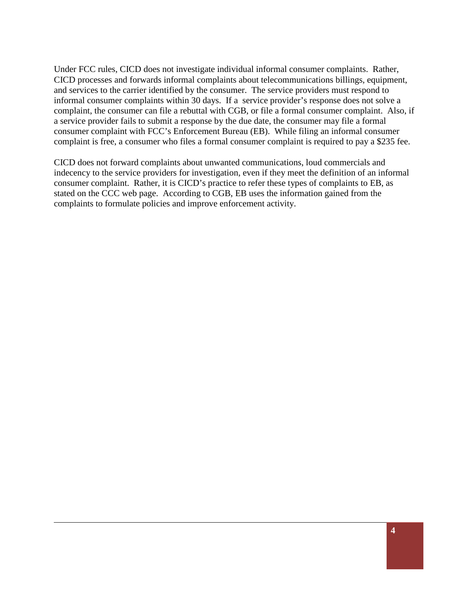Under FCC rules, CICD does not investigate individual informal consumer complaints. Rather, CICD processes and forwards informal complaints about telecommunications billings, equipment, and services to the carrier identified by the consumer. The service providers must respond to informal consumer complaints within 30 days. If a service provider's response does not solve a complaint, the consumer can file a rebuttal with CGB, or file a formal consumer complaint. Also, if a service provider fails to submit a response by the due date, the consumer may file a formal consumer complaint with FCC's Enforcement Bureau (EB). While filing an informal consumer complaint is free, a consumer who files a formal consumer complaint is required to pay a \$235 fee.

CICD does not forward complaints about unwanted communications, loud commercials and indecency to the service providers for investigation, even if they meet the definition of an informal consumer complaint. Rather, it is CICD's practice to refer these types of complaints to EB, as stated on the CCC web page. According to CGB, EB uses the information gained from the complaints to formulate policies and improve enforcement activity.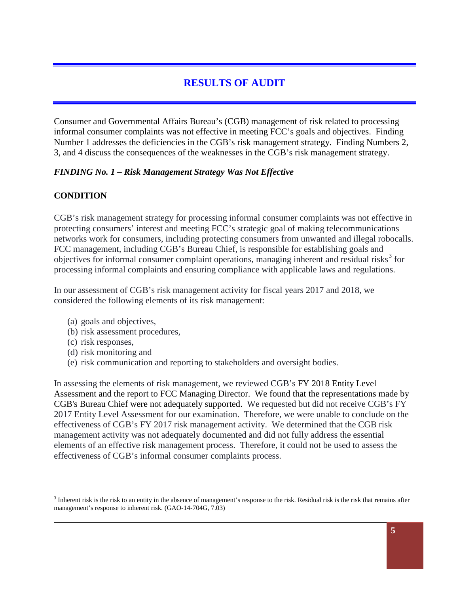# **RESULTS OF AUDIT**

Consumer and Governmental Affairs Bureau's (CGB) management of risk related to processing informal consumer complaints was not effective in meeting FCC's goals and objectives. Finding Number 1 addresses the deficiencies in the CGB's risk management strategy. Finding Numbers 2, 3, and 4 discuss the consequences of the weaknesses in the CGB's risk management strategy.

### *FINDING No. 1 – Risk Management Strategy Was Not Effective*

### **CONDITION**

CGB's risk management strategy for processing informal consumer complaints was not effective in protecting consumers' interest and meeting FCC's strategic goal of making telecommunications networks work for consumers, including protecting consumers from unwanted and illegal robocalls. FCC management, including CGB's Bureau Chief, is responsible for establishing goals and objectives for informal consumer complaint operations, managing inherent and residual risks<sup>3</sup> for processing informal complaints and ensuring compliance with applicable laws and regulations.

In our assessment of CGB's risk management activity for fiscal years 2017 and 2018, we considered the following elements of its risk management:

- (a) goals and objectives,
- (b) risk assessment procedures,
- (c) risk responses,

 $\overline{a}$ 

- (d) risk monitoring and
- (e) risk communication and reporting to stakeholders and oversight bodies.

In assessing the elements of risk management, we reviewed CGB's FY 2018 Entity Level Assessment and the report to FCC Managing Director. We found that the representations made by CGB's Bureau Chief were not adequately supported. We requested but did not receive CGB's FY 2017 Entity Level Assessment for our examination. Therefore, we were unable to conclude on the effectiveness of CGB's FY 2017 risk management activity. We determined that the CGB risk management activity was not adequately documented and did not fully address the essential elements of an effective risk management process. Therefore, it could not be used to assess the effectiveness of CGB's informal consumer complaints process.

 $3$  Inherent risk is the risk to an entity in the absence of management's response to the risk. Residual risk is the risk that remains after management's response to inherent risk. (GAO-14-704G, 7.03)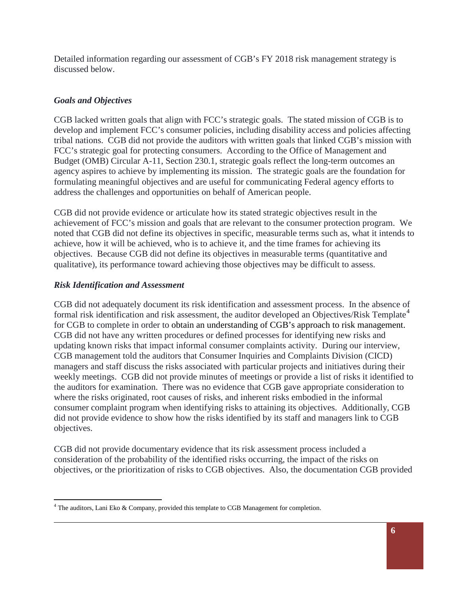Detailed information regarding our assessment of CGB's FY 2018 risk management strategy is discussed below.

# *Goals and Objectives*

CGB lacked written goals that align with FCC's strategic goals. The stated mission of CGB is to develop and implement FCC's consumer policies, including disability access and policies affecting tribal nations. CGB did not provide the auditors with written goals that linked CGB's mission with FCC's strategic goal for protecting consumers. According to the Office of Management and Budget (OMB) Circular A-11, Section 230.1, strategic goals reflect the long-term outcomes an agency aspires to achieve by implementing its mission. The strategic goals are the foundation for formulating meaningful objectives and are useful for communicating Federal agency efforts to address the challenges and opportunities on behalf of American people.

CGB did not provide evidence or articulate how its stated strategic objectives result in the achievement of FCC's mission and goals that are relevant to the consumer protection program. We noted that CGB did not define its objectives in specific, measurable terms such as, what it intends to achieve, how it will be achieved, who is to achieve it, and the time frames for achieving its objectives. Because CGB did not define its objectives in measurable terms (quantitative and qualitative), its performance toward achieving those objectives may be difficult to assess.

# *Risk Identification and Assessment*

CGB did not adequately document its risk identification and assessment process. In the absence of formal risk identification and risk assessment, the auditor developed an Objectives/Risk Template<sup>4</sup> for CGB to complete in order to obtain an understanding of CGB's approach to risk management. CGB did not have any written procedures or defined processes for identifying new risks and updating known risks that impact informal consumer complaints activity. During our interview, CGB management told the auditors that Consumer Inquiries and Complaints Division (CICD) managers and staff discuss the risks associated with particular projects and initiatives during their weekly meetings. CGB did not provide minutes of meetings or provide a list of risks it identified to the auditors for examination. There was no evidence that CGB gave appropriate consideration to where the risks originated, root causes of risks, and inherent risks embodied in the informal consumer complaint program when identifying risks to attaining its objectives. Additionally, CGB did not provide evidence to show how the risks identified by its staff and managers link to CGB objectives.

CGB did not provide documentary evidence that its risk assessment process included a consideration of the probability of the identified risks occurring, the impact of the risks on objectives, or the prioritization of risks to CGB objectives. Also, the documentation CGB provided

 $\overline{a}$  $4$  The auditors, Lani Eko & Company, provided this template to CGB Management for completion.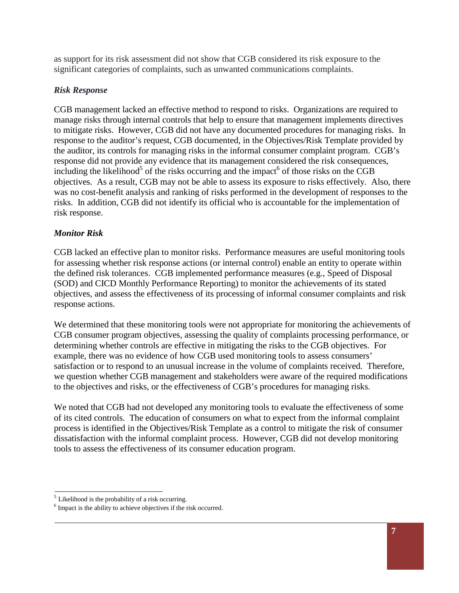as support for its risk assessment did not show that CGB considered its risk exposure to the significant categories of complaints, such as unwanted communications complaints.

#### *Risk Response*

CGB management lacked an effective method to respond to risks. Organizations are required to manage risks through internal controls that help to ensure that management implements directives to mitigate risks. However, CGB did not have any documented procedures for managing risks. In response to the auditor's request, CGB documented, in the Objectives/Risk Template provided by the auditor, its controls for managing risks in the informal consumer complaint program. CGB's response did not provide any evidence that its management considered the risk consequences, including the likelihood<sup>5</sup> of the risks occurring and the impact<sup>6</sup> of those risks on the CGB objectives. As a result, CGB may not be able to assess its exposure to risks effectively. Also, there was no cost-benefit analysis and ranking of risks performed in the development of responses to the risks. In addition, CGB did not identify its official who is accountable for the implementation of risk response.

### *Monitor Risk*

CGB lacked an effective plan to monitor risks. Performance measures are useful monitoring tools for assessing whether risk response actions (or internal control) enable an entity to operate within the defined risk tolerances. CGB implemented performance measures (e.g., Speed of Disposal (SOD) and CICD Monthly Performance Reporting) to monitor the achievements of its stated objectives, and assess the effectiveness of its processing of informal consumer complaints and risk response actions.

We determined that these monitoring tools were not appropriate for monitoring the achievements of CGB consumer program objectives, assessing the quality of complaints processing performance, or determining whether controls are effective in mitigating the risks to the CGB objectives. For example, there was no evidence of how CGB used monitoring tools to assess consumers' satisfaction or to respond to an unusual increase in the volume of complaints received. Therefore, we question whether CGB management and stakeholders were aware of the required modifications to the objectives and risks, or the effectiveness of CGB's procedures for managing risks.

We noted that CGB had not developed any monitoring tools to evaluate the effectiveness of some of its cited controls. The education of consumers on what to expect from the informal complaint process is identified in the Objectives/Risk Template as a control to mitigate the risk of consumer dissatisfaction with the informal complaint process. However, CGB did not develop monitoring tools to assess the effectiveness of its consumer education program.

 $<sup>5</sup>$  Likelihood is the probability of a risk occurring.</sup>

<sup>6</sup> Impact is the ability to achieve objectives if the risk occurred.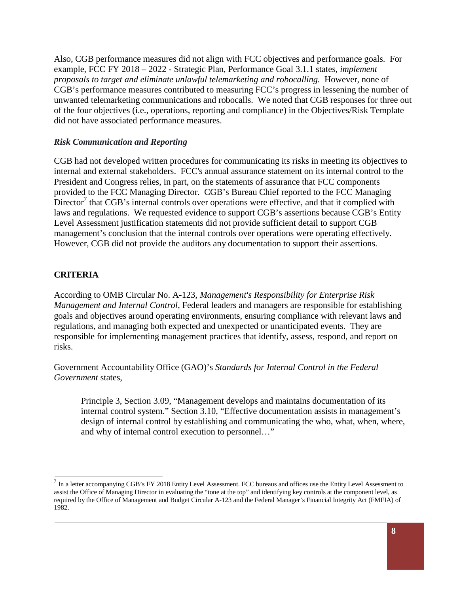Also, CGB performance measures did not align with FCC objectives and performance goals. For example, FCC FY 2018 – 2022 - Strategic Plan, Performance Goal 3.1.1 states*, implement proposals to target and eliminate unlawful telemarketing and robocalling.* However, none of CGB's performance measures contributed to measuring FCC's progress in lessening the number of unwanted telemarketing communications and robocalls. We noted that CGB responses for three out of the four objectives (i.e., operations, reporting and compliance) in the Objectives/Risk Template did not have associated performance measures.

#### *Risk Communication and Reporting*

CGB had not developed written procedures for communicating its risks in meeting its objectives to internal and external stakeholders. FCC's annual assurance statement on its internal control to the President and Congress relies, in part, on the statements of assurance that FCC components provided to the FCC Managing Director. CGB's Bureau Chief reported to the FCC Managing Director<sup>7</sup> that CGB's internal controls over operations were effective, and that it complied with laws and regulations. We requested evidence to support CGB's assertions because CGB's Entity Level Assessment justification statements did not provide sufficient detail to support CGB management's conclusion that the internal controls over operations were operating effectively. However, CGB did not provide the auditors any documentation to support their assertions.

### **CRITERIA**

According to OMB Circular No. A-123, *Management's Responsibility for Enterprise Risk Management and Internal Control*, Federal leaders and managers are responsible for establishing goals and objectives around operating environments, ensuring compliance with relevant laws and regulations, and managing both expected and unexpected or unanticipated events. They are responsible for implementing management practices that identify, assess, respond, and report on risks.

Government Accountability Office (GAO)'s *Standards for Internal Control in the Federal Government* states,

Principle 3, Section 3.09, "Management develops and maintains documentation of its internal control system." Section 3.10, "Effective documentation assists in management's design of internal control by establishing and communicating the who, what, when, where, and why of internal control execution to personnel…"

<sup>&</sup>lt;sup>7</sup> In a letter accompanying CGB's FY 2018 Entity Level Assessment. FCC bureaus and offices use the Entity Level Assessment to assist the Office of Managing Director in evaluating the "tone at the top" and identifying key controls at the component level, as required by the Office of Management and Budget Circular A-123 and the Federal Manager's Financial Integrity Act (FMFIA) of 1982.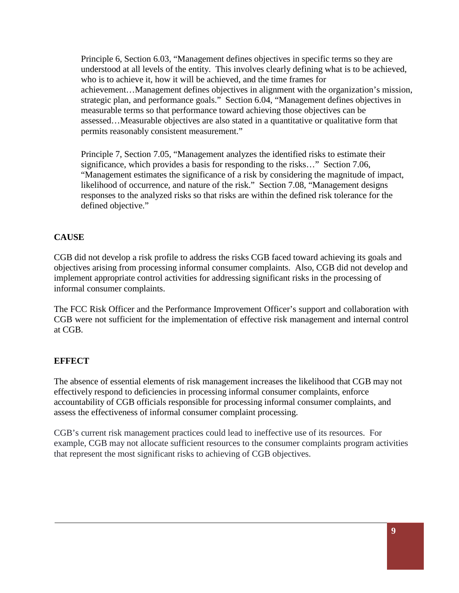Principle 6, Section 6.03, "Management defines objectives in specific terms so they are understood at all levels of the entity. This involves clearly defining what is to be achieved, who is to achieve it, how it will be achieved, and the time frames for achievement…Management defines objectives in alignment with the organization's mission, strategic plan, and performance goals." Section 6.04, "Management defines objectives in measurable terms so that performance toward achieving those objectives can be assessed…Measurable objectives are also stated in a quantitative or qualitative form that permits reasonably consistent measurement."

Principle 7, Section 7.05, "Management analyzes the identified risks to estimate their significance, which provides a basis for responding to the risks…" Section 7.06, "Management estimates the significance of a risk by considering the magnitude of impact, likelihood of occurrence, and nature of the risk." Section 7.08, "Management designs responses to the analyzed risks so that risks are within the defined risk tolerance for the defined objective."

# **CAUSE**

CGB did not develop a risk profile to address the risks CGB faced toward achieving its goals and objectives arising from processing informal consumer complaints. Also, CGB did not develop and implement appropriate control activities for addressing significant risks in the processing of informal consumer complaints.

The FCC Risk Officer and the Performance Improvement Officer's support and collaboration with CGB were not sufficient for the implementation of effective risk management and internal control at CGB.

### **EFFECT**

The absence of essential elements of risk management increases the likelihood that CGB may not effectively respond to deficiencies in processing informal consumer complaints, enforce accountability of CGB officials responsible for processing informal consumer complaints, and assess the effectiveness of informal consumer complaint processing.

CGB's current risk management practices could lead to ineffective use of its resources. For example, CGB may not allocate sufficient resources to the consumer complaints program activities that represent the most significant risks to achieving of CGB objectives.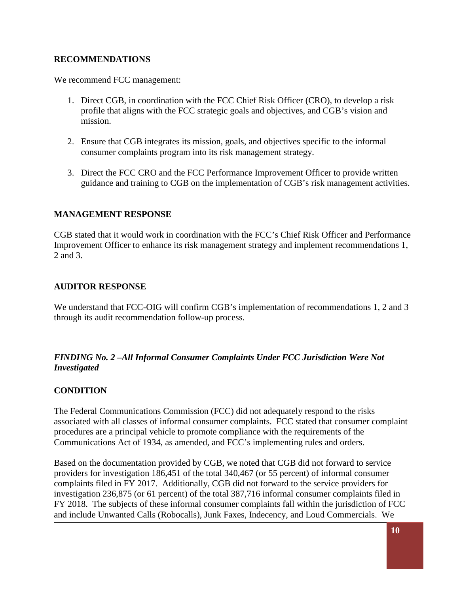#### **RECOMMENDATIONS**

We recommend FCC management:

- 1. Direct CGB, in coordination with the FCC Chief Risk Officer (CRO), to develop a risk profile that aligns with the FCC strategic goals and objectives, and CGB's vision and mission.
- 2. Ensure that CGB integrates its mission, goals, and objectives specific to the informal consumer complaints program into its risk management strategy.
- 3. Direct the FCC CRO and the FCC Performance Improvement Officer to provide written guidance and training to CGB on the implementation of CGB's risk management activities.

#### **MANAGEMENT RESPONSE**

CGB stated that it would work in coordination with the FCC's Chief Risk Officer and Performance Improvement Officer to enhance its risk management strategy and implement recommendations 1, 2 and 3.

#### **AUDITOR RESPONSE**

We understand that FCC-OIG will confirm CGB's implementation of recommendations 1, 2 and 3 through its audit recommendation follow-up process.

### *FINDING No. 2 –All Informal Consumer Complaints Under FCC Jurisdiction Were Not Investigated*

### **CONDITION**

The Federal Communications Commission (FCC) did not adequately respond to the risks associated with all classes of informal consumer complaints. FCC stated that consumer complaint procedures are a principal vehicle to promote compliance with the requirements of the Communications Act of 1934, as amended, and FCC's implementing rules and orders.

Based on the documentation provided by CGB, we noted that CGB did not forward to service providers for investigation 186,451 of the total 340,467 (or 55 percent) of informal consumer complaints filed in FY 2017. Additionally, CGB did not forward to the service providers for investigation 236,875 (or 61 percent) of the total 387,716 informal consumer complaints filed in FY 2018. The subjects of these informal consumer complaints fall within the jurisdiction of FCC and include Unwanted Calls (Robocalls), Junk Faxes, Indecency, and Loud Commercials. We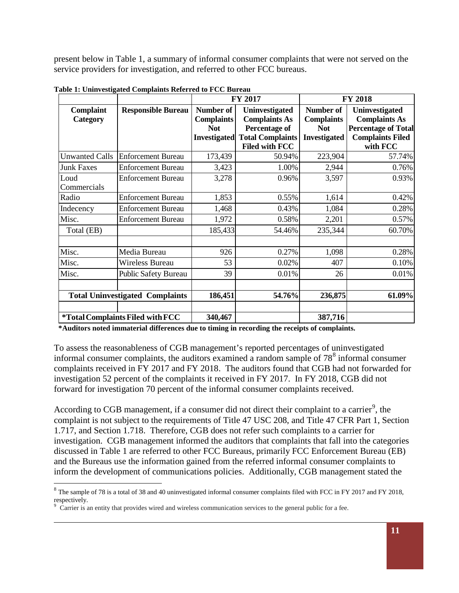present below in Table 1, a summary of informal consumer complaints that were not served on the service providers for investigation, and referred to other FCC bureaus.

|                                                |                             | FY 2017                                             |                                                         | <b>FY 2018</b>                               |                                                                      |
|------------------------------------------------|-----------------------------|-----------------------------------------------------|---------------------------------------------------------|----------------------------------------------|----------------------------------------------------------------------|
| Complaint<br>Category                          | <b>Responsible Bureau</b>   | <b>Number of</b><br><b>Complaints</b><br><b>Not</b> | Uninvestigated<br><b>Complaints As</b><br>Percentage of | Number of<br><b>Complaints</b><br><b>Not</b> | Uninvestigated<br><b>Complaints As</b><br><b>Percentage of Total</b> |
|                                                |                             | <b>Investigated</b>                                 | <b>Total Complaints</b><br><b>Filed with FCC</b>        | <b>Investigated</b>                          | <b>Complaints Filed</b><br>with FCC                                  |
| <b>Unwanted Calls</b>                          | <b>Enforcement Bureau</b>   | 173,439                                             | 50.94%                                                  | 223,904                                      | 57.74%                                                               |
| <b>Junk Faxes</b>                              | <b>Enforcement Bureau</b>   | 3,423                                               | 1.00%                                                   | 2,944                                        | 0.76%                                                                |
| Loud<br>Commercials                            | <b>Enforcement Bureau</b>   | 3,278                                               | 0.96%                                                   | 3,597                                        | 0.93%                                                                |
| Radio                                          | <b>Enforcement Bureau</b>   | 1,853                                               | 0.55%                                                   | 1,614                                        | 0.42%                                                                |
| Indecency                                      | <b>Enforcement Bureau</b>   | 1,468                                               | 0.43%                                                   | 1,084                                        | 0.28%                                                                |
| Misc.                                          | <b>Enforcement Bureau</b>   | 1,972                                               | 0.58%                                                   | 2,201                                        | 0.57%                                                                |
| Total (EB)                                     |                             | 185,433                                             | 54.46%                                                  | 235,344                                      | 60.70%                                                               |
| Misc.                                          | Media Bureau                | 926                                                 | 0.27%                                                   | 1,098                                        | 0.28%                                                                |
| Misc.                                          | Wireless Bureau             | 53                                                  | 0.02%                                                   | 407                                          | 0.10%                                                                |
| Misc.                                          | <b>Public Safety Bureau</b> | 39                                                  | 0.01%                                                   | 26                                           | 0.01%                                                                |
| <b>Total Uninvestigated Complaints</b>         |                             | 186,451                                             | 54.76%                                                  | 236,875                                      | 61.09%                                                               |
| <i><b>*Total Complaints Filed with FCC</b></i> |                             | 340,467                                             |                                                         | 387,716                                      |                                                                      |

**Table 1: Uninvestigated Complaints Referred to FCC Bureau**

**\*Auditors noted immaterial differences due to timing in recording the receipts of complaints.** 

To assess the reasonableness of CGB management's reported percentages of uninvestigated informal consumer complaints, the auditors examined a random sample of  $78<sup>8</sup>$  informal consumer complaints received in FY 2017 and FY 2018. The auditors found that CGB had not forwarded for investigation 52 percent of the complaints it received in FY 2017. In FY 2018, CGB did not forward for investigation 70 percent of the informal consumer complaints received.

According to CGB management, if a consumer did not direct their complaint to a carrier<sup>9</sup>, the complaint is not subject to the requirements of Title 47 USC 208, and Title 47 CFR Part 1, Section 1.717, and Section 1.718. Therefore, CGB does not refer such complaints to a carrier for investigation. CGB management informed the auditors that complaints that fall into the categories discussed in Table 1 are referred to other FCC Bureaus, primarily FCC Enforcement Bureau (EB) and the Bureaus use the information gained from the referred informal consumer complaints to inform the development of communications policies. Additionally, CGB management stated the

 $\overline{a}$ 

 $8$  The sample of 78 is a total of 38 and 40 uninvestigated informal consumer complaints filed with FCC in FY 2017 and FY 2018, respectively.

Carrier is an entity that provides wired and wireless communication services to the general public for a fee.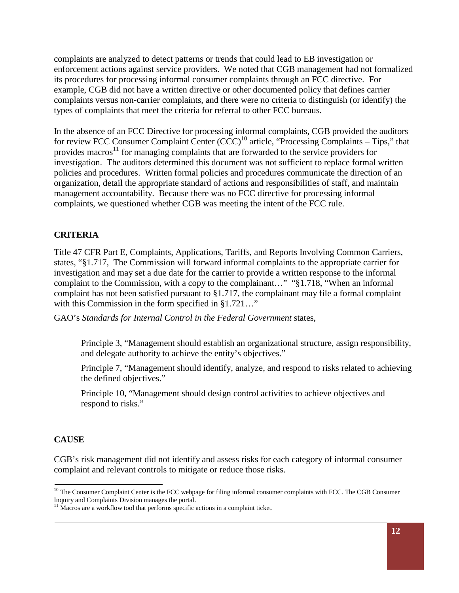complaints are analyzed to detect patterns or trends that could lead to EB investigation or enforcement actions against service providers. We noted that CGB management had not formalized its procedures for processing informal consumer complaints through an FCC directive. For example, CGB did not have a written directive or other documented policy that defines carrier complaints versus non-carrier complaints, and there were no criteria to distinguish (or identify) the types of complaints that meet the criteria for referral to other FCC bureaus.

In the absence of an FCC Directive for processing informal complaints, CGB provided the auditors for review FCC Consumer Complaint Center  $(CCC)^{10}$  article, "Processing Complaints – Tips," that provides macros<sup>11</sup> for managing complaints that are forwarded to the service providers for investigation. The auditors determined this document was not sufficient to replace formal written policies and procedures. Written formal policies and procedures communicate the direction of an organization, detail the appropriate standard of actions and responsibilities of staff, and maintain management accountability. Because there was no FCC directive for processing informal complaints, we questioned whether CGB was meeting the intent of the FCC rule.

# **CRITERIA**

Title 47 CFR Part E, Complaints, Applications, Tariffs, and Reports Involving Common Carriers, states, "§1.717, The Commission will forward informal complaints to the appropriate carrier for investigation and may set a due date for the carrier to provide a written response to the informal complaint to the Commission, with a copy to the complainant…" "§1.718, "When an informal complaint has not been satisfied pursuant to §1.717, the complainant may file a formal complaint with this Commission in the form specified in §1.721..."

GAO's *Standards for Internal Control in the Federal Government* states,

Principle 3, "Management should establish an organizational structure, assign responsibility, and delegate authority to achieve the entity's objectives."

Principle 7, "Management should identify, analyze, and respond to risks related to achieving the defined objectives."

Principle 10, "Management should design control activities to achieve objectives and respond to risks."

### **CAUSE**

CGB's risk management did not identify and assess risks for each category of informal consumer complaint and relevant controls to mitigate or reduce those risks.

 $10$  The Consumer Complaint Center is the FCC webpage for filing informal consumer complaints with FCC. The CGB Consumer Inquiry and Complaints Division manages the portal. 11 Macros are a workflow tool that performs specific actions in a complaint ticket.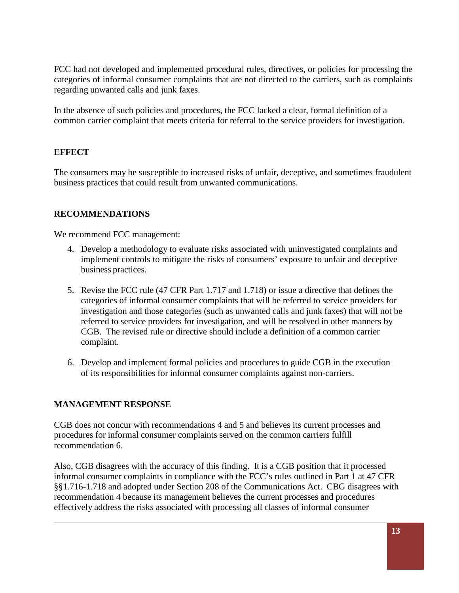FCC had not developed and implemented procedural rules, directives, or policies for processing the categories of informal consumer complaints that are not directed to the carriers, such as complaints regarding unwanted calls and junk faxes.

In the absence of such policies and procedures, the FCC lacked a clear, formal definition of a common carrier complaint that meets criteria for referral to the service providers for investigation.

# **EFFECT**

The consumers may be susceptible to increased risks of unfair, deceptive, and sometimes fraudulent business practices that could result from unwanted communications.

### **RECOMMENDATIONS**

We recommend FCC management:

- 4. Develop a methodology to evaluate risks associated with uninvestigated complaints and implement controls to mitigate the risks of consumers' exposure to unfair and deceptive business practices.
- 5. Revise the FCC rule (47 CFR Part 1.717 and 1.718) or issue a directive that defines the categories of informal consumer complaints that will be referred to service providers for investigation and those categories (such as unwanted calls and junk faxes) that will not be referred to service providers for investigation, and will be resolved in other manners by CGB. The revised rule or directive should include a definition of a common carrier complaint.
- 6. Develop and implement formal policies and procedures to guide CGB in the execution of its responsibilities for informal consumer complaints against non-carriers.

### **MANAGEMENT RESPONSE**

CGB does not concur with recommendations 4 and 5 and believes its current processes and procedures for informal consumer complaints served on the common carriers fulfill recommendation 6.

Also, CGB disagrees with the accuracy of this finding. It is a CGB position that it processed informal consumer complaints in compliance with the FCC's rules outlined in Part 1 at 47 CFR §§1.716-1.718 and adopted under Section 208 of the Communications Act. CBG disagrees with recommendation 4 because its management believes the current processes and procedures effectively address the risks associated with processing all classes of informal consumer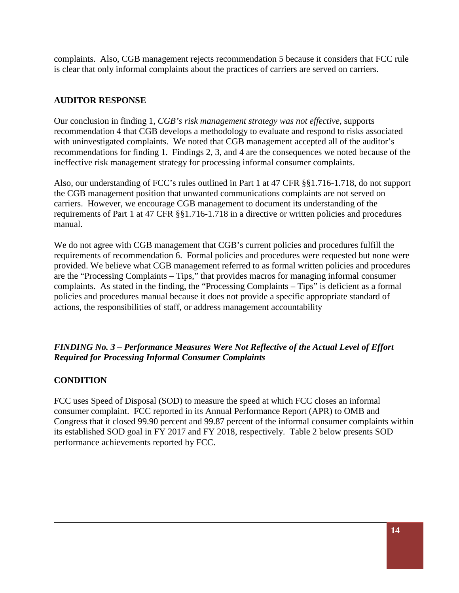complaints. Also, CGB management rejects recommendation 5 because it considers that FCC rule is clear that only informal complaints about the practices of carriers are served on carriers.

## **AUDITOR RESPONSE**

Our conclusion in finding 1, *CGB's risk management strategy was not effective,* supports recommendation 4 that CGB develops a methodology to evaluate and respond to risks associated with uninvestigated complaints. We noted that CGB management accepted all of the auditor's recommendations for finding 1. Findings 2, 3, and 4 are the consequences we noted because of the ineffective risk management strategy for processing informal consumer complaints.

Also, our understanding of FCC's rules outlined in Part 1 at 47 CFR §§1.716-1.718, do not support the CGB management position that unwanted communications complaints are not served on carriers. However, we encourage CGB management to document its understanding of the requirements of Part 1 at 47 CFR §§1.716-1.718 in a directive or written policies and procedures manual.

We do not agree with CGB management that CGB's current policies and procedures fulfill the requirements of recommendation 6. Formal policies and procedures were requested but none were provided. We believe what CGB management referred to as formal written policies and procedures are the "Processing Complaints – Tips," that provides macros for managing informal consumer complaints. As stated in the finding, the "Processing Complaints – Tips" is deficient as a formal policies and procedures manual because it does not provide a specific appropriate standard of actions, the responsibilities of staff, or address management accountability

# *FINDING No. 3 – Performance Measures Were Not Reflective of the Actual Level of Effort Required for Processing Informal Consumer Complaints*

### **CONDITION**

FCC uses Speed of Disposal (SOD) to measure the speed at which FCC closes an informal consumer complaint. FCC reported in its Annual Performance Report (APR) to OMB and Congress that it closed 99.90 percent and 99.87 percent of the informal consumer complaints within its established SOD goal in FY 2017 and FY 2018, respectively. Table 2 below presents SOD performance achievements reported by FCC.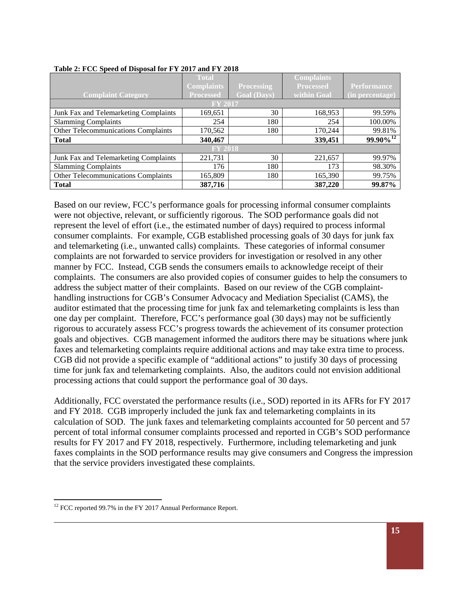|                                       | <b>Total</b>      |                    | <b>Complaints</b> |                         |
|---------------------------------------|-------------------|--------------------|-------------------|-------------------------|
|                                       |                   |                    |                   |                         |
|                                       | <b>Complaints</b> | <b>Processing</b>  | <b>Processed</b>  | Performance             |
| <b>Complaint Category</b>             | <b>Processed</b>  | <b>Goal</b> (Days) | within Goal       | (in percentage)         |
|                                       | FY 2017           |                    |                   |                         |
| Junk Fax and Telemarketing Complaints | 169,651           | 30                 | 168,953           | 99.59%                  |
| <b>Slamming Complaints</b>            | 254               | 180                | 254               | 100.00%                 |
| Other Telecommunications Complaints   | 170,562           | 180                | 170,244           | 99.81%                  |
| <b>Total</b>                          | 340,467           |                    | 339,451           | $99.90\%$ <sup>12</sup> |
|                                       | FY 2018           |                    |                   |                         |
| Junk Fax and Telemarketing Complaints | 221,731           | 30                 | 221,657           | 99.97%                  |
| <b>Slamming Complaints</b>            | 176               | 180                | 173               | 98.30%                  |
| Other Telecommunications Complaints   | 165,809           | 180                | 165,390           | 99.75%                  |
| <b>Total</b>                          | 387,716           |                    | 387,220           | 99.87%                  |

#### **Table 2: FCC Speed of Disposal for FY 2017 and FY 2018**

Based on our review, FCC's performance goals for processing informal consumer complaints were not objective, relevant, or sufficiently rigorous. The SOD performance goals did not represent the level of effort (i.e., the estimated number of days) required to process informal consumer complaints. For example, CGB established processing goals of 30 days for junk fax and telemarketing (i.e., unwanted calls) complaints. These categories of informal consumer complaints are not forwarded to service providers for investigation or resolved in any other manner by FCC. Instead, CGB sends the consumers emails to acknowledge receipt of their complaints. The consumers are also provided copies of consumer guides to help the consumers to address the subject matter of their complaints. Based on our review of the CGB complainthandling instructions for CGB's Consumer Advocacy and Mediation Specialist (CAMS), the auditor estimated that the processing time for junk fax and telemarketing complaints is less than one day per complaint. Therefore, FCC's performance goal (30 days) may not be sufficiently rigorous to accurately assess FCC's progress towards the achievement of its consumer protection goals and objectives. CGB management informed the auditors there may be situations where junk faxes and telemarketing complaints require additional actions and may take extra time to process. CGB did not provide a specific example of "additional actions" to justify 30 days of processing time for junk fax and telemarketing complaints. Also, the auditors could not envision additional processing actions that could support the performance goal of 30 days.

Additionally, FCC overstated the performance results (i.e., SOD) reported in its AFRs for FY 2017 and FY 2018. CGB improperly included the junk fax and telemarketing complaints in its calculation of SOD. The junk faxes and telemarketing complaints accounted for 50 percent and 57 percent of total informal consumer complaints processed and reported in CGB's SOD performance results for FY 2017 and FY 2018, respectively. Furthermore, including telemarketing and junk faxes complaints in the SOD performance results may give consumers and Congress the impression that the service providers investigated these complaints.

 $\overline{a}$  $12$  FCC reported 99.7% in the FY 2017 Annual Performance Report.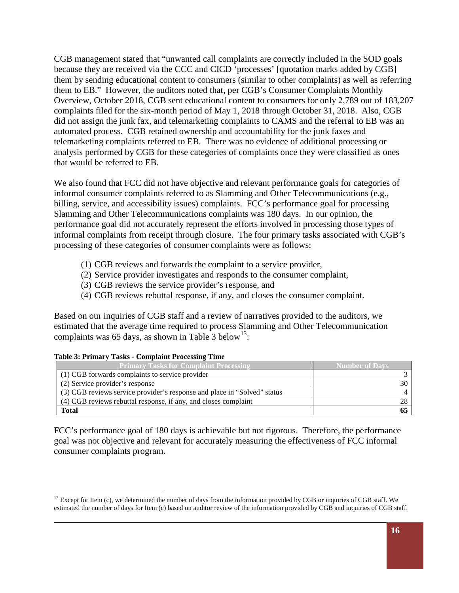CGB management stated that "unwanted call complaints are correctly included in the SOD goals because they are received via the CCC and CICD 'processes' [quotation marks added by CGB] them by sending educational content to consumers (similar to other complaints) as well as referring them to EB." However, the auditors noted that, per CGB's Consumer Complaints Monthly Overview, October 2018, CGB sent educational content to consumers for only 2,789 out of 183,207 complaints filed for the six-month period of May 1, 2018 through October 31, 2018. Also, CGB did not assign the junk fax, and telemarketing complaints to CAMS and the referral to EB was an automated process. CGB retained ownership and accountability for the junk faxes and telemarketing complaints referred to EB. There was no evidence of additional processing or analysis performed by CGB for these categories of complaints once they were classified as ones that would be referred to EB.

We also found that FCC did not have objective and relevant performance goals for categories of informal consumer complaints referred to as Slamming and Other Telecommunications (e.g., billing, service, and accessibility issues) complaints. FCC's performance goal for processing Slamming and Other Telecommunications complaints was 180 days. In our opinion, the performance goal did not accurately represent the efforts involved in processing those types of informal complaints from receipt through closure. The four primary tasks associated with CGB's processing of these categories of consumer complaints were as follows:

- (1) CGB reviews and forwards the complaint to a service provider,
- (2) Service provider investigates and responds to the consumer complaint,
- (3) CGB reviews the service provider's response, and
- (4) CGB reviews rebuttal response, if any, and closes the consumer complaint.

Based on our inquiries of CGB staff and a review of narratives provided to the auditors, we estimated that the average time required to process Slamming and Other Telecommunication complaints was 65 days, as shown in Table 3 below<sup>13</sup>:

| <b>Primary Tasks for Complaint Processing</b>                            | Number of Days |
|--------------------------------------------------------------------------|----------------|
| (1) CGB forwards complaints to service provider                          |                |
| (2) Service provider's response                                          |                |
| (3) CGB reviews service provider's response and place in "Solved" status |                |
| (4) CGB reviews rebuttal response, if any, and closes complaint          |                |
| <b>Total</b>                                                             |                |

#### **Table 3: Primary Tasks - Complaint Processing Time**

FCC's performance goal of 180 days is achievable but not rigorous. Therefore, the performance goal was not objective and relevant for accurately measuring the effectiveness of FCC informal consumer complaints program.

<sup>&</sup>lt;sup>13</sup> Except for Item (c), we determined the number of days from the information provided by CGB or inquiries of CGB staff. We estimated the number of days for Item (c) based on auditor review of the information provided by CGB and inquiries of CGB staff.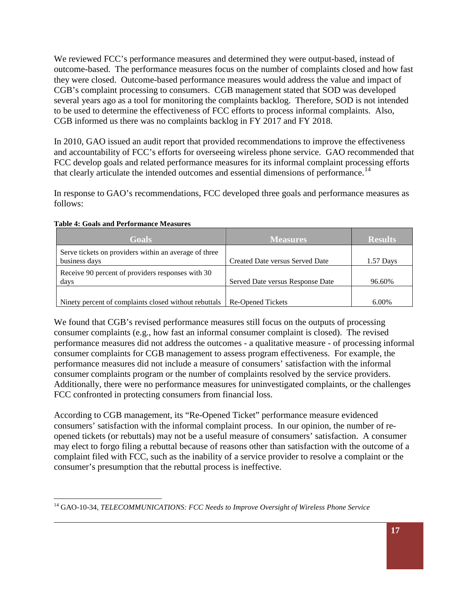We reviewed FCC's performance measures and determined they were output-based, instead of outcome-based. The performance measures focus on the number of complaints closed and how fast they were closed. Outcome-based performance measures would address the value and impact of CGB's complaint processing to consumers. CGB management stated that SOD was developed several years ago as a tool for monitoring the complaints backlog. Therefore, SOD is not intended to be used to determine the effectiveness of FCC efforts to process informal complaints. Also, CGB informed us there was no complaints backlog in FY 2017 and FY 2018.

In 2010, GAO issued an audit report that provided recommendations to improve the effectiveness and accountability of FCC's efforts for overseeing wireless phone service. GAO recommended that FCC develop goals and related performance measures for its informal complaint processing efforts that clearly articulate the intended outcomes and essential dimensions of performance.<sup>14</sup>

In response to GAO's recommendations, FCC developed three goals and performance measures as follows:

| <b>Goals</b>                                                           | <b>Measures</b>                  | <b>Results</b> |
|------------------------------------------------------------------------|----------------------------------|----------------|
| Serve tickets on providers within an average of three<br>business days | Created Date versus Served Date  | $1.57$ Days    |
| Receive 90 percent of providers responses with 30<br>days              | Served Date versus Response Date | 96.60%         |
| Ninety percent of complaints closed without rebuttals                  | Re-Opened Tickets                | $6.00\%$       |

**Table 4: Goals and Performance Measures**

We found that CGB's revised performance measures still focus on the outputs of processing consumer complaints (e.g., how fast an informal consumer complaint is closed). The revised performance measures did not address the outcomes - a qualitative measure - of processing informal consumer complaints for CGB management to assess program effectiveness. For example, the performance measures did not include a measure of consumers' satisfaction with the informal consumer complaints program or the number of complaints resolved by the service providers. Additionally, there were no performance measures for uninvestigated complaints, or the challenges FCC confronted in protecting consumers from financial loss.

According to CGB management, its "Re-Opened Ticket" performance measure evidenced consumers' satisfaction with the informal complaint process. In our opinion, the number of reopened tickets (or rebuttals) may not be a useful measure of consumers' satisfaction. A consumer may elect to forgo filing a rebuttal because of reasons other than satisfaction with the outcome of a complaint filed with FCC, such as the inability of a service provider to resolve a complaint or the consumer's presumption that the rebuttal process is ineffective.

 $\overline{a}$ <sup>14</sup> GAO-10-34, *TELECOMMUNICATIONS: FCC Needs to Improve Oversight of Wireless Phone Service*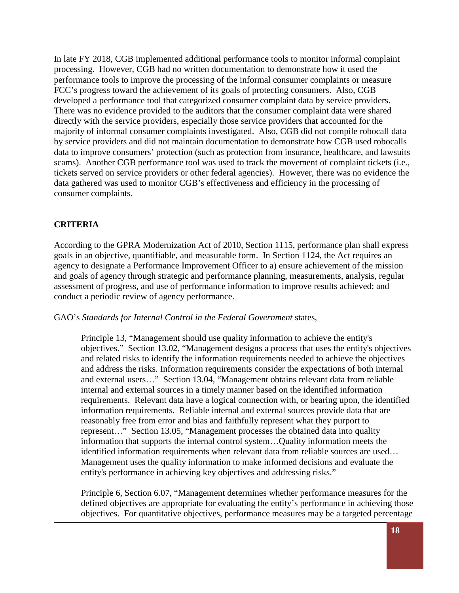In late FY 2018, CGB implemented additional performance tools to monitor informal complaint processing. However, CGB had no written documentation to demonstrate how it used the performance tools to improve the processing of the informal consumer complaints or measure FCC's progress toward the achievement of its goals of protecting consumers. Also, CGB developed a performance tool that categorized consumer complaint data by service providers. There was no evidence provided to the auditors that the consumer complaint data were shared directly with the service providers, especially those service providers that accounted for the majority of informal consumer complaints investigated. Also, CGB did not compile robocall data by service providers and did not maintain documentation to demonstrate how CGB used robocalls data to improve consumers' protection (such as protection from insurance, healthcare, and lawsuits scams). Another CGB performance tool was used to track the movement of complaint tickets (i.e., tickets served on service providers or other federal agencies). However, there was no evidence the data gathered was used to monitor CGB's effectiveness and efficiency in the processing of consumer complaints.

# **CRITERIA**

According to the GPRA Modernization Act of 2010, Section 1115, performance plan shall express goals in an objective, quantifiable, and measurable form. In Section 1124, the Act requires an agency to designate a Performance Improvement Officer to a) ensure achievement of the mission and goals of agency through strategic and performance planning, measurements, analysis, regular assessment of progress, and use of performance information to improve results achieved; and conduct a periodic review of agency performance.

#### GAO's *Standards for Internal Control in the Federal Government* states,

Principle 13, "Management should use quality information to achieve the entity's objectives." Section 13.02, "Management designs a process that uses the entity's objectives and related risks to identify the information requirements needed to achieve the objectives and address the risks. Information requirements consider the expectations of both internal and external users…" Section 13.04, "Management obtains relevant data from reliable internal and external sources in a timely manner based on the identified information requirements. Relevant data have a logical connection with, or bearing upon, the identified information requirements. Reliable internal and external sources provide data that are reasonably free from error and bias and faithfully represent what they purport to represent…" Section 13.05, "Management processes the obtained data into quality information that supports the internal control system…Quality information meets the identified information requirements when relevant data from reliable sources are used… Management uses the quality information to make informed decisions and evaluate the entity's performance in achieving key objectives and addressing risks."

Principle 6, Section 6.07, "Management determines whether performance measures for the defined objectives are appropriate for evaluating the entity's performance in achieving those objectives. For quantitative objectives, performance measures may be a targeted percentage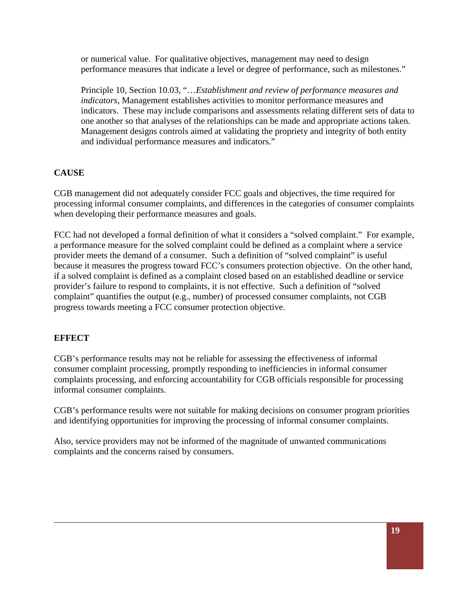or numerical value. For qualitative objectives, management may need to design performance measures that indicate a level or degree of performance, such as milestones."

Principle 10, Section 10.03, "…*Establishment and review of performance measures and indicators*, Management establishes activities to monitor performance measures and indicators. These may include comparisons and assessments relating different sets of data to one another so that analyses of the relationships can be made and appropriate actions taken. Management designs controls aimed at validating the propriety and integrity of both entity and individual performance measures and indicators."

# **CAUSE**

CGB management did not adequately consider FCC goals and objectives, the time required for processing informal consumer complaints, and differences in the categories of consumer complaints when developing their performance measures and goals.

FCC had not developed a formal definition of what it considers a "solved complaint." For example, a performance measure for the solved complaint could be defined as a complaint where a service provider meets the demand of a consumer. Such a definition of "solved complaint" is useful because it measures the progress toward FCC's consumers protection objective. On the other hand, if a solved complaint is defined as a complaint closed based on an established deadline or service provider's failure to respond to complaints, it is not effective. Such a definition of "solved complaint" quantifies the output (e.g., number) of processed consumer complaints, not CGB progress towards meeting a FCC consumer protection objective.

### **EFFECT**

CGB's performance results may not be reliable for assessing the effectiveness of informal consumer complaint processing, promptly responding to inefficiencies in informal consumer complaints processing, and enforcing accountability for CGB officials responsible for processing informal consumer complaints.

CGB's performance results were not suitable for making decisions on consumer program priorities and identifying opportunities for improving the processing of informal consumer complaints.

Also, service providers may not be informed of the magnitude of unwanted communications complaints and the concerns raised by consumers.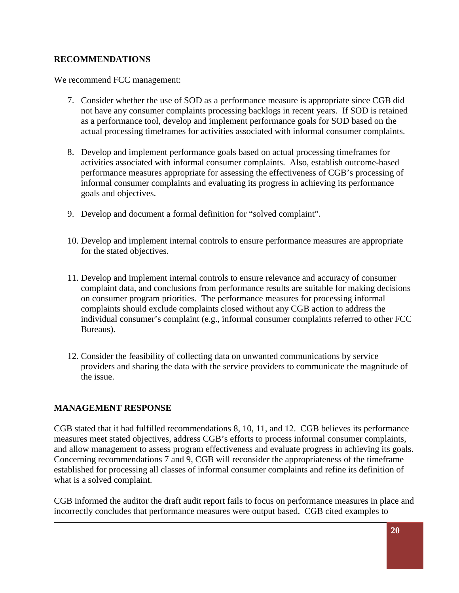### **RECOMMENDATIONS**

We recommend FCC management:

- 7. Consider whether the use of SOD as a performance measure is appropriate since CGB did not have any consumer complaints processing backlogs in recent years. If SOD is retained as a performance tool, develop and implement performance goals for SOD based on the actual processing timeframes for activities associated with informal consumer complaints.
- 8. Develop and implement performance goals based on actual processing timeframes for activities associated with informal consumer complaints. Also, establish outcome-based performance measures appropriate for assessing the effectiveness of CGB's processing of informal consumer complaints and evaluating its progress in achieving its performance goals and objectives.
- 9. Develop and document a formal definition for "solved complaint".
- 10. Develop and implement internal controls to ensure performance measures are appropriate for the stated objectives.
- 11. Develop and implement internal controls to ensure relevance and accuracy of consumer complaint data, and conclusions from performance results are suitable for making decisions on consumer program priorities. The performance measures for processing informal complaints should exclude complaints closed without any CGB action to address the individual consumer's complaint (e.g., informal consumer complaints referred to other FCC Bureaus).
- 12. Consider the feasibility of collecting data on unwanted communications by service providers and sharing the data with the service providers to communicate the magnitude of the issue.

### **MANAGEMENT RESPONSE**

CGB stated that it had fulfilled recommendations 8, 10, 11, and 12. CGB believes its performance measures meet stated objectives, address CGB's efforts to process informal consumer complaints, and allow management to assess program effectiveness and evaluate progress in achieving its goals. Concerning recommendations 7 and 9, CGB will reconsider the appropriateness of the timeframe established for processing all classes of informal consumer complaints and refine its definition of what is a solved complaint.

CGB informed the auditor the draft audit report fails to focus on performance measures in place and incorrectly concludes that performance measures were output based. CGB cited examples to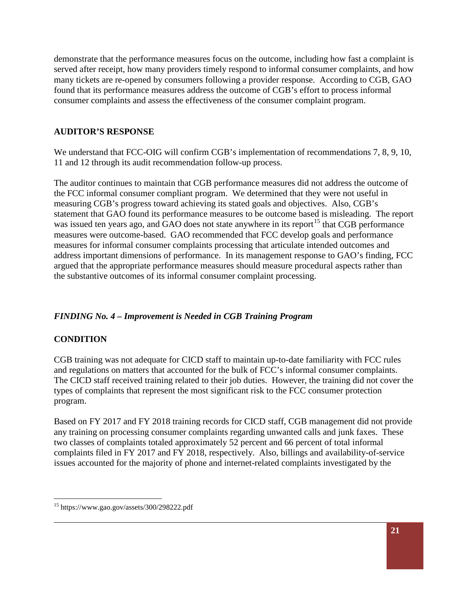demonstrate that the performance measures focus on the outcome, including how fast a complaint is served after receipt, how many providers timely respond to informal consumer complaints, and how many tickets are re-opened by consumers following a provider response. According to CGB, GAO found that its performance measures address the outcome of CGB's effort to process informal consumer complaints and assess the effectiveness of the consumer complaint program.

# **AUDITOR'S RESPONSE**

We understand that FCC-OIG will confirm CGB's implementation of recommendations 7, 8, 9, 10, 11 and 12 through its audit recommendation follow-up process.

The auditor continues to maintain that CGB performance measures did not address the outcome of the FCC informal consumer compliant program. We determined that they were not useful in measuring CGB's progress toward achieving its stated goals and objectives. Also, CGB's statement that GAO found its performance measures to be outcome based is misleading. The report was issued ten years ago, and GAO does not state anywhere in its report<sup>15</sup> that CGB performance measures were outcome-based. GAO recommended that FCC develop goals and performance measures for informal consumer complaints processing that articulate intended outcomes and address important dimensions of performance. In its management response to GAO's finding, FCC argued that the appropriate performance measures should measure procedural aspects rather than the substantive outcomes of its informal consumer complaint processing.

# *FINDING No. 4 – Improvement is Needed in CGB Training Program*

# **CONDITION**

CGB training was not adequate for CICD staff to maintain up-to-date familiarity with FCC rules and regulations on matters that accounted for the bulk of FCC's informal consumer complaints. The CICD staff received training related to their job duties. However, the training did not cover the types of complaints that represent the most significant risk to the FCC consumer protection program.

Based on FY 2017 and FY 2018 training records for CICD staff, CGB management did not provide any training on processing consumer complaints regarding unwanted calls and junk faxes. These two classes of complaints totaled approximately 52 percent and 66 percent of total informal complaints filed in FY 2017 and FY 2018, respectively. Also, billings and availability-of-service issues accounted for the majority of phone and internet-related complaints investigated by the

<sup>15</sup> https://www.gao.gov/assets/300/298222.pdf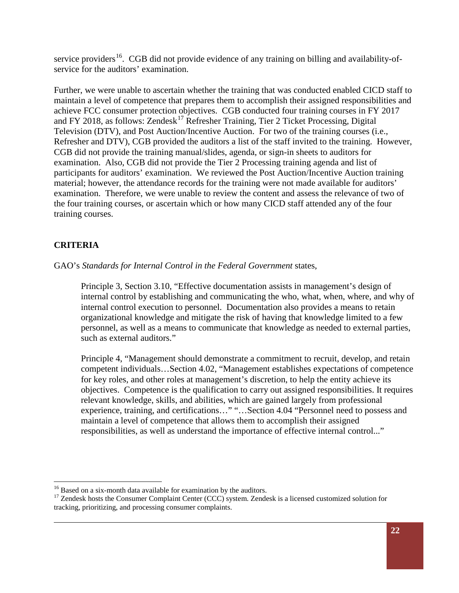service providers<sup>16</sup>. CGB did not provide evidence of any training on billing and availability-ofservice for the auditors' examination.

Further, we were unable to ascertain whether the training that was conducted enabled CICD staff to maintain a level of competence that prepares them to accomplish their assigned responsibilities and achieve FCC consumer protection objectives. CGB conducted four training courses in FY 2017 and FY 2018, as follows: Zendesk<sup>17</sup> Refresher Training, Tier 2 Ticket Processing, Digital Television (DTV), and Post Auction/Incentive Auction. For two of the training courses (i.e., Refresher and DTV), CGB provided the auditors a list of the staff invited to the training. However, CGB did not provide the training manual/slides, agenda, or sign-in sheets to auditors for examination. Also, CGB did not provide the Tier 2 Processing training agenda and list of participants for auditors' examination. We reviewed the Post Auction/Incentive Auction training material; however, the attendance records for the training were not made available for auditors' examination. Therefore, we were unable to review the content and assess the relevance of two of the four training courses, or ascertain which or how many CICD staff attended any of the four training courses.

# **CRITERIA**

GAO's *Standards for Internal Control in the Federal Government* states,

Principle 3, Section 3.10, "Effective documentation assists in management's design of internal control by establishing and communicating the who, what, when, where, and why of internal control execution to personnel. Documentation also provides a means to retain organizational knowledge and mitigate the risk of having that knowledge limited to a few personnel, as well as a means to communicate that knowledge as needed to external parties, such as external auditors."

Principle 4, "Management should demonstrate a commitment to recruit, develop, and retain competent individuals…Section 4.02, "Management establishes expectations of competence for key roles, and other roles at management's discretion, to help the entity achieve its objectives. Competence is the qualification to carry out assigned responsibilities. It requires relevant knowledge, skills, and abilities, which are gained largely from professional experience, training, and certifications…" "…Section 4.04 "Personnel need to possess and maintain a level of competence that allows them to accomplish their assigned responsibilities, as well as understand the importance of effective internal control..."

<sup>&</sup>lt;sup>16</sup> Based on a six-month data available for examination by the auditors.<br><sup>17</sup> Zendesk hosts the Consumer Complaint Center (CCC) system. Zendesk is a licensed customized solution for tracking, prioritizing, and processing consumer complaints.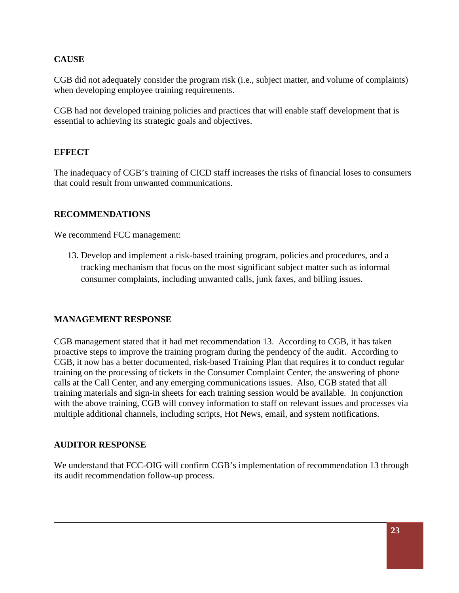# **CAUSE**

CGB did not adequately consider the program risk (i.e., subject matter, and volume of complaints) when developing employee training requirements.

CGB had not developed training policies and practices that will enable staff development that is essential to achieving its strategic goals and objectives.

# **EFFECT**

The inadequacy of CGB's training of CICD staff increases the risks of financial loses to consumers that could result from unwanted communications.

### **RECOMMENDATIONS**

We recommend FCC management:

13. Develop and implement a risk-based training program, policies and procedures, and a tracking mechanism that focus on the most significant subject matter such as informal consumer complaints, including unwanted calls, junk faxes, and billing issues.

### **MANAGEMENT RESPONSE**

CGB management stated that it had met recommendation 13. According to CGB, it has taken proactive steps to improve the training program during the pendency of the audit. According to CGB, it now has a better documented, risk-based Training Plan that requires it to conduct regular training on the processing of tickets in the Consumer Complaint Center, the answering of phone calls at the Call Center, and any emerging communications issues. Also, CGB stated that all training materials and sign-in sheets for each training session would be available. In conjunction with the above training, CGB will convey information to staff on relevant issues and processes via multiple additional channels, including scripts, Hot News, email, and system notifications.

#### **AUDITOR RESPONSE**

We understand that FCC-OIG will confirm CGB's implementation of recommendation 13 through its audit recommendation follow-up process.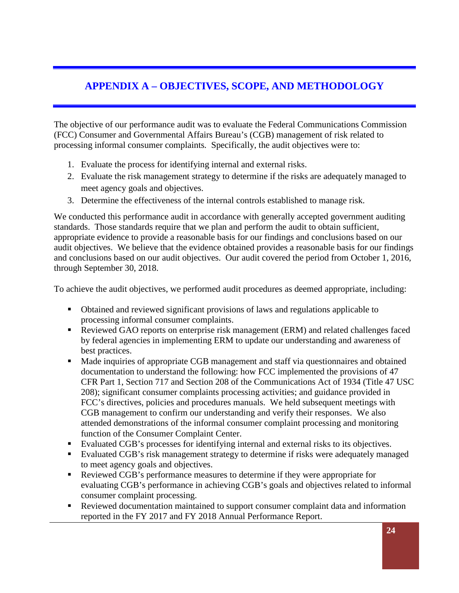# **APPENDIX A – OBJECTIVES, SCOPE, AND METHODOLOGY**

The objective of our performance audit was to evaluate the Federal Communications Commission (FCC) Consumer and Governmental Affairs Bureau's (CGB) management of risk related to processing informal consumer complaints*.* Specifically, the audit objectives were to:

- 1. Evaluate the process for identifying internal and external risks.
- 2. Evaluate the risk management strategy to determine if the risks are adequately managed to meet agency goals and objectives.
- 3. Determine the effectiveness of the internal controls established to manage risk.

We conducted this performance audit in accordance with generally accepted government auditing standards. Those standards require that we plan and perform the audit to obtain sufficient, appropriate evidence to provide a reasonable basis for our findings and conclusions based on our audit objectives. We believe that the evidence obtained provides a reasonable basis for our findings and conclusions based on our audit objectives. Our audit covered the period from October 1, 2016, through September 30, 2018.

To achieve the audit objectives, we performed audit procedures as deemed appropriate, including:

- Obtained and reviewed significant provisions of laws and regulations applicable to processing informal consumer complaints.
- Reviewed GAO reports on enterprise risk management (ERM) and related challenges faced by federal agencies in implementing ERM to update our understanding and awareness of best practices.
- Made inquiries of appropriate CGB management and staff via questionnaires and obtained documentation to understand the following: how FCC implemented the provisions of 47 CFR Part 1, Section 717 and Section 208 of the Communications Act of 1934 (Title 47 USC 208); significant consumer complaints processing activities; and guidance provided in FCC's directives, policies and procedures manuals. We held subsequent meetings with CGB management to confirm our understanding and verify their responses. We also attended demonstrations of the informal consumer complaint processing and monitoring function of the Consumer Complaint Center.
- Evaluated CGB's processes for identifying internal and external risks to its objectives.
- Evaluated CGB's risk management strategy to determine if risks were adequately managed to meet agency goals and objectives.
- Reviewed CGB's performance measures to determine if they were appropriate for evaluating CGB's performance in achieving CGB's goals and objectives related to informal consumer complaint processing.
- Reviewed documentation maintained to support consumer complaint data and information reported in the FY 2017 and FY 2018 Annual Performance Report.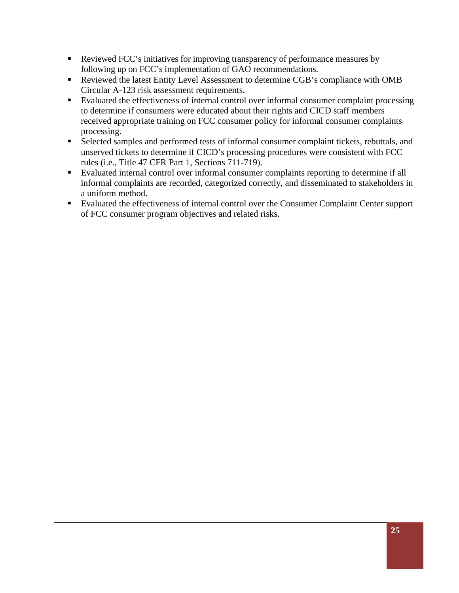- Reviewed FCC's initiatives for improving transparency of performance measures by following up on FCC's implementation of GAO recommendations.
- Reviewed the latest Entity Level Assessment to determine CGB's compliance with OMB Circular A-123 risk assessment requirements.
- Evaluated the effectiveness of internal control over informal consumer complaint processing to determine if consumers were educated about their rights and CICD staff members received appropriate training on FCC consumer policy for informal consumer complaints processing.
- Selected samples and performed tests of informal consumer complaint tickets, rebuttals, and unserved tickets to determine if CICD's processing procedures were consistent with FCC rules (i.e., Title 47 CFR Part 1, Sections 711-719).
- Evaluated internal control over informal consumer complaints reporting to determine if all informal complaints are recorded, categorized correctly, and disseminated to stakeholders in a uniform method.
- Evaluated the effectiveness of internal control over the Consumer Complaint Center support of FCC consumer program objectives and related risks.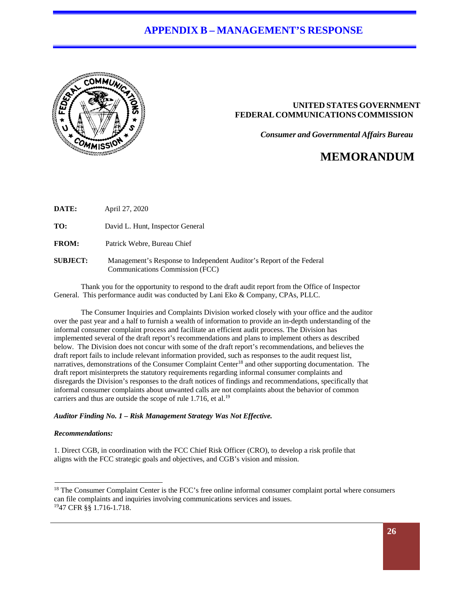# **APPENDIX B – MANAGEMENT'S RESPONSE**



#### **UNITED STATES GOVERNMENT FEDERALCOMMUNICATIONS COMMISSION**

*Consumer and Governmental Affairs Bureau*

# **MEMORANDUM**

**DATE:** April 27, 2020

**TO:** David L. Hunt, Inspector General

**FROM:** Patrick Webre, Bureau Chief

**SUBJECT:** Management's Response to Independent Auditor's Report of the Federal Communications Commission (FCC)

Thank you for the opportunity to respond to the draft audit report from the Office of Inspector General. This performance audit was conducted by Lani Eko & Company, CPAs, PLLC.

The Consumer Inquiries and Complaints Division worked closely with your office and the auditor over the past year and a half to furnish a wealth of information to provide an in-depth understanding of the informal consumer complaint process and facilitate an efficient audit process. The Division has implemented several of the draft report's recommendations and plans to implement others as described below. The Division does not concur with some of the draft report's recommendations, and believes the draft report fails to include relevant information provided, such as responses to the audit request list, narratives, demonstrations of the Consumer Complaint Center<sup>18</sup> and other supporting documentation. The draft report misinterprets the statutory requirements regarding informal consumer complaints and disregards the Division's responses to the draft notices of findings and recommendations, specifically that informal consumer complaints about unwanted calls are not complaints about the behavior of common carriers and thus are outside the scope of rule 1.716, et al.<sup>19</sup>

#### *Auditor Finding No. 1 – Risk Management Strategy Was Not Effective.*

#### *Recommendations:*

1. Direct CGB, in coordination with the FCC Chief Risk Officer (CRO), to develop a risk profile that aligns with the FCC strategic goals and objectives, and CGB's vision and mission.

<sup>&</sup>lt;sup>18</sup> The Consumer Complaint Center is the FCC's free online informal consumer complaint portal where consumers can file complaints and inquiries involving communications services and issues. 1947 CFR §§ 1.716-1.718.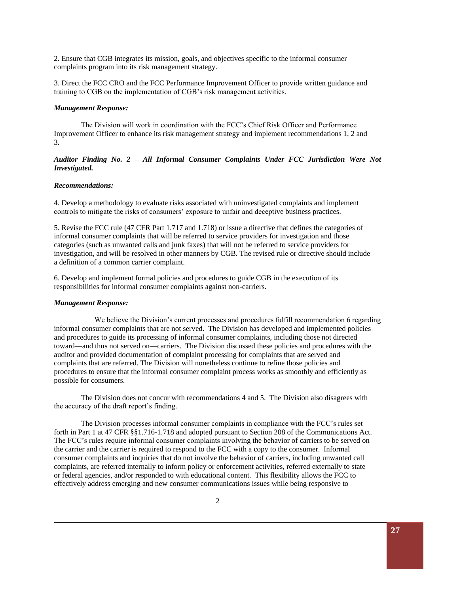2. Ensure that CGB integrates its mission, goals, and objectives specific to the informal consumer complaints program into its risk management strategy.

3. Direct the FCC CRO and the FCC Performance Improvement Officer to provide written guidance and training to CGB on the implementation of CGB's risk management activities.

#### *Management Response:*

The Division will work in coordination with the FCC's Chief Risk Officer and Performance Improvement Officer to enhance its risk management strategy and implement recommendations 1, 2 and 3.

*Auditor Finding No. 2 – All Informal Consumer Complaints Under FCC Jurisdiction Were Not Investigated.* 

#### *Recommendations:*

4. Develop a methodology to evaluate risks associated with uninvestigated complaints and implement controls to mitigate the risks of consumers' exposure to unfair and deceptive business practices.

5. Revise the FCC rule (47 CFR Part 1.717 and 1.718) or issue a directive that defines the categories of informal consumer complaints that will be referred to service providers for investigation and those categories (such as unwanted calls and junk faxes) that will not be referred to service providers for investigation, and will be resolved in other manners by CGB. The revised rule or directive should include a definition of a common carrier complaint.

6. Develop and implement formal policies and procedures to guide CGB in the execution of its responsibilities for informal consumer complaints against non-carriers.

#### *Management Response:*

We believe the Division's current processes and procedures fulfill recommendation 6 regarding informal consumer complaints that are not served. The Division has developed and implemented policies and procedures to guide its processing of informal consumer complaints, including those not directed toward—and thus not served on—carriers. The Division discussed these policies and procedures with the auditor and provided documentation of complaint processing for complaints that are served and complaints that are referred. The Division will nonetheless continue to refine those policies and procedures to ensure that the informal consumer complaint process works as smoothly and efficiently as possible for consumers.

The Division does not concur with recommendations 4 and 5. The Division also disagrees with the accuracy of the draft report's finding.

The Division processes informal consumer complaints in compliance with the FCC's rules set forth in Part 1 at 47 CFR §§1.716-1.718 and adopted pursuant to Section 208 of the Communications Act. The FCC's rules require informal consumer complaints involving the behavior of carriers to be served on the carrier and the carrier is required to respond to the FCC with a copy to the consumer. Informal consumer complaints and inquiries that do not involve the behavior of carriers, including unwanted call complaints, are referred internally to inform policy or enforcement activities, referred externally to state or federal agencies, and/or responded to with educational content. This flexibility allows the FCC to effectively address emerging and new consumer communications issues while being responsive to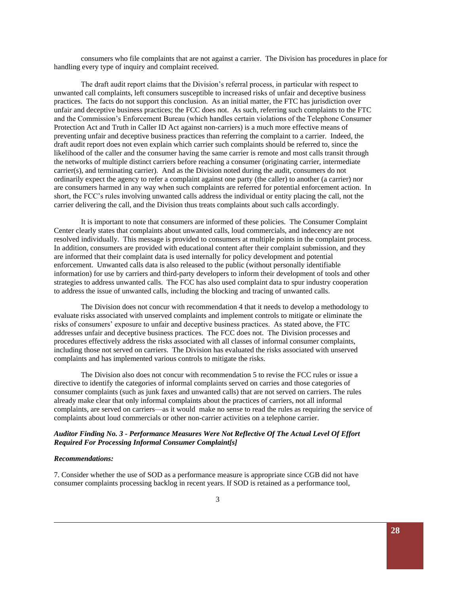consumers who file complaints that are not against a carrier. The Division has procedures in place for handling every type of inquiry and complaint received.

The draft audit report claims that the Division's referral process, in particular with respect to unwanted call complaints, left consumers susceptible to increased risks of unfair and deceptive business practices. The facts do not support this conclusion. As an initial matter, the FTC has jurisdiction over unfair and deceptive business practices; the FCC does not. As such, referring such complaints to the FTC and the Commission's Enforcement Bureau (which handles certain violations of the Telephone Consumer Protection Act and Truth in Caller ID Act against non-carriers) is a much more effective means of preventing unfair and deceptive business practices than referring the complaint to a carrier. Indeed, the draft audit report does not even explain which carrier such complaints should be referred to, since the likelihood of the caller and the consumer having the same carrier is remote and most calls transit through the networks of multiple distinct carriers before reaching a consumer (originating carrier, intermediate carrier(s), and terminating carrier). And as the Division noted during the audit, consumers do not ordinarily expect the agency to refer a complaint against one party (the caller) to another (a carrier) nor are consumers harmed in any way when such complaints are referred for potential enforcement action. In short, the FCC's rules involving unwanted calls address the individual or entity placing the call, not the carrier delivering the call, and the Division thus treats complaints about such calls accordingly.

It is important to note that consumers are informed of these policies. The Consumer Complaint Center clearly states that complaints about unwanted calls, loud commercials, and indecency are not resolved individually. This message is provided to consumers at multiple points in the complaint process. In addition, consumers are provided with educational content after their complaint submission, and they are informed that their complaint data is used internally for policy development and potential enforcement. Unwanted calls data is also released to the public (without personally identifiable information) for use by carriers and third-party developers to inform their development of tools and other strategies to address unwanted calls. The FCC has also used complaint data to spur industry cooperation to address the issue of unwanted calls, including the blocking and tracing of unwanted calls.

The Division does not concur with recommendation 4 that it needs to develop a methodology to evaluate risks associated with unserved complaints and implement controls to mitigate or eliminate the risks of consumers' exposure to unfair and deceptive business practices. As stated above, the FTC addresses unfair and deceptive business practices. The FCC does not. The Division processes and procedures effectively address the risks associated with all classes of informal consumer complaints, including those not served on carriers. The Division has evaluated the risks associated with unserved complaints and has implemented various controls to mitigate the risks.

The Division also does not concur with recommendation 5 to revise the FCC rules or issue a directive to identify the categories of informal complaints served on carries and those categories of consumer complaints (such as junk faxes and unwanted calls) that are not served on carriers. The rules already make clear that only informal complaints about the practices of carriers, not all informal complaints, are served on carriers—as it would make no sense to read the rules as requiring the service of complaints about loud commercials or other non-carrier activities on a telephone carrier.

#### *Auditor Finding No. 3* **-** *Performance Measures Were Not Reflective Of The Actual Level Of Effort Required For Processing Informal Consumer Complaint[s]*

#### *Recommendations:*

7. Consider whether the use of SOD as a performance measure is appropriate since CGB did not have consumer complaints processing backlog in recent years. If SOD is retained as a performance tool,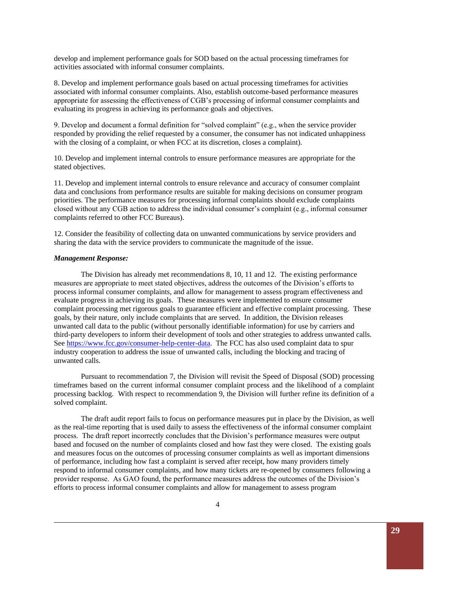develop and implement performance goals for SOD based on the actual processing timeframes for activities associated with informal consumer complaints.

8. Develop and implement performance goals based on actual processing timeframes for activities associated with informal consumer complaints. Also, establish outcome-based performance measures appropriate for assessing the effectiveness of CGB's processing of informal consumer complaints and evaluating its progress in achieving its performance goals and objectives.

9. Develop and document a formal definition for "solved complaint" (e.g., when the service provider responded by providing the relief requested by a consumer, the consumer has not indicated unhappiness with the closing of a complaint, or when FCC at its discretion, closes a complaint).

10. Develop and implement internal controls to ensure performance measures are appropriate for the stated objectives.

11. Develop and implement internal controls to ensure relevance and accuracy of consumer complaint data and conclusions from performance results are suitable for making decisions on consumer program priorities. The performance measures for processing informal complaints should exclude complaints closed without any CGB action to address the individual consumer's complaint (e.g., informal consumer complaints referred to other FCC Bureaus).

12. Consider the feasibility of collecting data on unwanted communications by service providers and sharing the data with the service providers to communicate the magnitude of the issue.

#### *Management Response:*

The Division has already met recommendations 8, 10, 11 and 12. The existing performance measures are appropriate to meet stated objectives, address the outcomes of the Division's efforts to process informal consumer complaints, and allow for management to assess program effectiveness and evaluate progress in achieving its goals. These measures were implemented to ensure consumer complaint processing met rigorous goals to guarantee efficient and effective complaint processing. These goals, by their nature, only include complaints that are served. In addition, the Division releases unwanted call data to the public (without personally identifiable information) for use by carriers and third-party developers to inform their development of tools and other strategies to address unwanted calls. See https://www.fcc.gov/consumer-help-center-data. The FCC has also used complaint data to spur industry cooperation to address the issue of unwanted calls, including the blocking and tracing of unwanted calls.

Pursuant to recommendation 7, the Division will revisit the Speed of Disposal (SOD) processing timeframes based on the current informal consumer complaint process and the likelihood of a complaint processing backlog. With respect to recommendation 9, the Division will further refine its definition of a solved complaint.

The draft audit report fails to focus on performance measures put in place by the Division, as well as the real-time reporting that is used daily to assess the effectiveness of the informal consumer complaint process. The draft report incorrectly concludes that the Division's performance measures were output based and focused on the number of complaints closed and how fast they were closed. The existing goals and measures focus on the outcomes of processing consumer complaints as well as important dimensions of performance, including how fast a complaint is served after receipt, how many providers timely respond to informal consumer complaints, and how many tickets are re-opened by consumers following a provider response. As GAO found, the performance measures address the outcomes of the Division's efforts to process informal consumer complaints and allow for management to assess program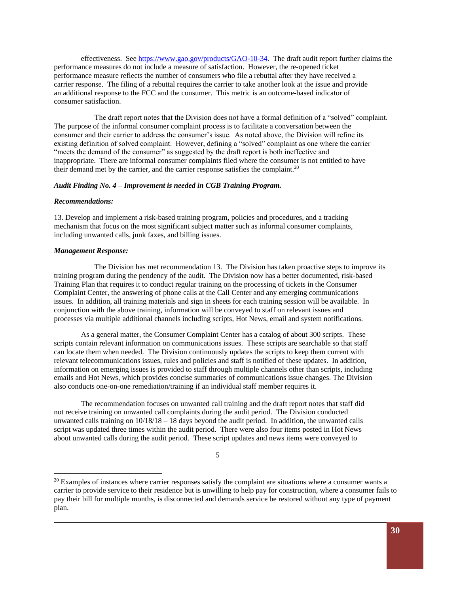effectiveness. See https://www.gao.gov/products/GAO-10-34. The draft audit report further claims the performance measures do not include a measure of satisfaction. However, the re-opened ticket performance measure reflects the number of consumers who file a rebuttal after they have received a carrier response. The filing of a rebuttal requires the carrier to take another look at the issue and provide an additional response to the FCC and the consumer. This metric is an outcome-based indicator of consumer satisfaction.

The draft report notes that the Division does not have a formal definition of a "solved" complaint. The purpose of the informal consumer complaint process is to facilitate a conversation between the consumer and their carrier to address the consumer's issue. As noted above, the Division will refine its existing definition of solved complaint. However, defining a "solved" complaint as one where the carrier "meets the demand of the consumer" as suggested by the draft report is both ineffective and inappropriate. There are informal consumer complaints filed where the consumer is not entitled to have their demand met by the carrier, and the carrier response satisfies the complaint.<sup>20</sup>

#### *Audit Finding No. 4 – Improvement is needed in CGB Training Program.*

#### *Recommendations:*

13. Develop and implement a risk-based training program, policies and procedures, and a tracking mechanism that focus on the most significant subject matter such as informal consumer complaints, including unwanted calls, junk faxes, and billing issues.

#### *Management Response:*

The Division has met recommendation 13. The Division has taken proactive steps to improve its training program during the pendency of the audit. The Division now has a better documented, risk-based Training Plan that requires it to conduct regular training on the processing of tickets in the Consumer Complaint Center, the answering of phone calls at the Call Center and any emerging communications issues. In addition, all training materials and sign in sheets for each training session will be available. In conjunction with the above training, information will be conveyed to staff on relevant issues and processes via multiple additional channels including scripts, Hot News, email and system notifications.

As a general matter, the Consumer Complaint Center has a catalog of about 300 scripts. These scripts contain relevant information on communications issues. These scripts are searchable so that staff can locate them when needed. The Division continuously updates the scripts to keep them current with relevant telecommunications issues, rules and policies and staff is notified of these updates. In addition, information on emerging issues is provided to staff through multiple channels other than scripts, including emails and Hot News, which provides concise summaries of communications issue changes. The Division also conducts one-on-one remediation/training if an individual staff member requires it.

The recommendation focuses on unwanted call training and the draft report notes that staff did not receive training on unwanted call complaints during the audit period. The Division conducted unwanted calls training on 10/18/18 – 18 days beyond the audit period. In addition, the unwanted calls script was updated three times within the audit period. There were also four items posted in Hot News about unwanted calls during the audit period. These script updates and news items were conveyed to

 $\overline{5}$ 

<sup>&</sup>lt;sup>20</sup> Examples of instances where carrier responses satisfy the complaint are situations where a consumer wants a carrier to provide service to their residence but is unwilling to help pay for construction, where a consumer fails to pay their bill for multiple months, is disconnected and demands service be restored without any type of payment plan.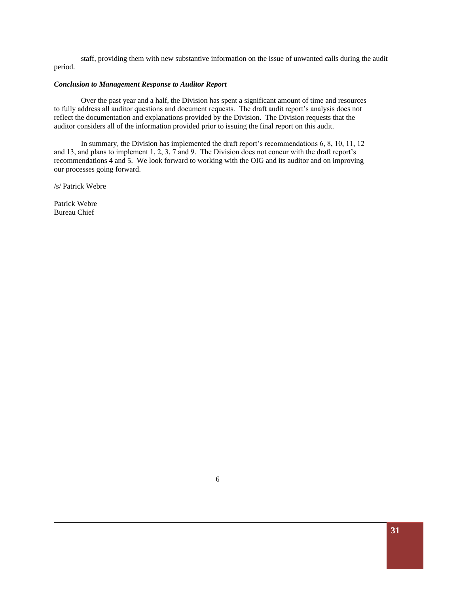staff, providing them with new substantive information on the issue of unwanted calls during the audit period.

#### *Conclusion to Management Response to Auditor Report*

Over the past year and a half, the Division has spent a significant amount of time and resources to fully address all auditor questions and document requests. The draft audit report's analysis does not reflect the documentation and explanations provided by the Division. The Division requests that the auditor considers all of the information provided prior to issuing the final report on this audit.

In summary, the Division has implemented the draft report's recommendations 6, 8, 10, 11, 12 and 13, and plans to implement 1, 2, 3, 7 and 9. The Division does not concur with the draft report's recommendations 4 and 5. We look forward to working with the OIG and its auditor and on improving our processes going forward.

/s/ Patrick Webre

Patrick Webre Bureau Chief